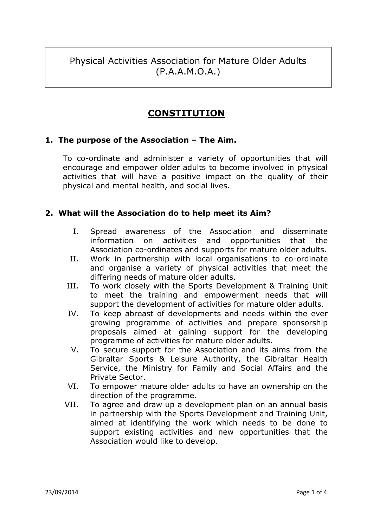Physical Activities Association for Mature Older Adults (P.A.A.M.O.A.)

# **CONSTITUTION**

# **1. The purpose of the Association – The Aim.**

To co-ordinate and administer a variety of opportunities that will encourage and empower older adults to become involved in physical activities that will have a positive impact on the quality of their physical and mental health, and social lives.

# **2. What will the Association do to help meet its Aim?**

- I. Spread awareness of the Association and disseminate information on activities and opportunities that the Association co-ordinates and supports for mature older adults.
- II. Work in partnership with local organisations to co-ordinate and organise a variety of physical activities that meet the differing needs of mature older adults.
- III. To work closely with the Sports Development & Training Unit to meet the training and empowerment needs that will support the development of activities for mature older adults.
- IV. To keep abreast of developments and needs within the ever growing programme of activities and prepare sponsorship proposals aimed at gaining support for the developing programme of activities for mature older adults.
- V. To secure support for the Association and its aims from the Gibraltar Sports & Leisure Authority, the Gibraltar Health Service, the Ministry for Family and Social Affairs and the Private Sector.
- VI. To empower mature older adults to have an ownership on the direction of the programme.
- VII. To agree and draw up a development plan on an annual basis in partnership with the Sports Development and Training Unit, aimed at identifying the work which needs to be done to support existing activities and new opportunities that the Association would like to develop.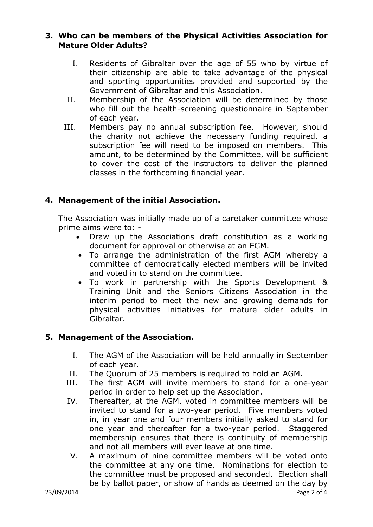# **3. Who can be members of the Physical Activities Association for Mature Older Adults?**

- I. Residents of Gibraltar over the age of 55 who by virtue of their citizenship are able to take advantage of the physical and sporting opportunities provided and supported by the Government of Gibraltar and this Association.
- II. Membership of the Association will be determined by those who fill out the health-screening questionnaire in September of each year.
- III. Members pay no annual subscription fee. However, should the charity not achieve the necessary funding required, a subscription fee will need to be imposed on members. This amount, to be determined by the Committee, will be sufficient to cover the cost of the instructors to deliver the planned classes in the forthcoming financial year.

# **4. Management of the initial Association.**

The Association was initially made up of a caretaker committee whose prime aims were to: -

- Draw up the Associations draft constitution as a working document for approval or otherwise at an EGM.
- To arrange the administration of the first AGM whereby a committee of democratically elected members will be invited and voted in to stand on the committee.
- To work in partnership with the Sports Development & Training Unit and the Seniors Citizens Association in the interim period to meet the new and growing demands for physical activities initiatives for mature older adults in Gibraltar.

# **5. Management of the Association.**

- I. The AGM of the Association will be held annually in September of each year.
- II. The Quorum of 25 members is required to hold an AGM.
- III. The first AGM will invite members to stand for a one-year period in order to help set up the Association.
- IV. Thereafter, at the AGM, voted in committee members will be invited to stand for a two-year period. Five members voted in, in year one and four members initially asked to stand for one year and thereafter for a two-year period. Staggered membership ensures that there is continuity of membership and not all members will ever leave at one time.
- V. A maximum of nine committee members will be voted onto the committee at any one time. Nominations for election to the committee must be proposed and seconded. Election shall be by ballot paper, or show of hands as deemed on the day by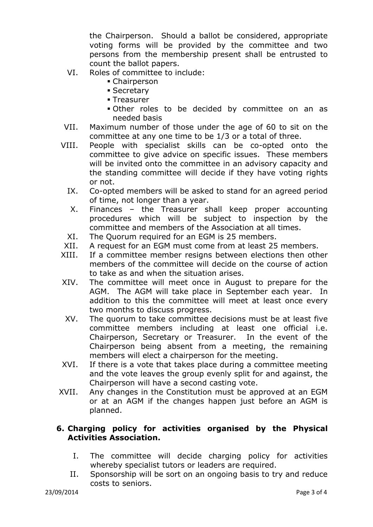the Chairperson. Should a ballot be considered, appropriate voting forms will be provided by the committee and two persons from the membership present shall be entrusted to count the ballot papers.

- VI. Roles of committee to include:
	- Chairperson
	- **Secretary**
	- Treasurer
	- Other roles to be decided by committee on an as needed basis
- VII. Maximum number of those under the age of 60 to sit on the committee at any one time to be 1/3 or a total of three.
- VIII. People with specialist skills can be co-opted onto the committee to give advice on specific issues. These members will be invited onto the committee in an advisory capacity and the standing committee will decide if they have voting rights or not.
	- IX. Co-opted members will be asked to stand for an agreed period of time, not longer than a year.
	- X. Finances the Treasurer shall keep proper accounting procedures which will be subject to inspection by the committee and members of the Association at all times.
	- XI. The Quorum required for an EGM is 25 members.
- XII. A request for an EGM must come from at least 25 members.
- XIII. If a committee member resigns between elections then other members of the committee will decide on the course of action to take as and when the situation arises.
- XIV. The committee will meet once in August to prepare for the AGM. The AGM will take place in September each year. In addition to this the committee will meet at least once every two months to discuss progress.
- XV. The quorum to take committee decisions must be at least five committee members including at least one official i.e. Chairperson, Secretary or Treasurer. In the event of the Chairperson being absent from a meeting, the remaining members will elect a chairperson for the meeting.
- XVI. If there is a vote that takes place during a committee meeting and the vote leaves the group evenly split for and against, the Chairperson will have a second casting vote.
- XVII. Any changes in the Constitution must be approved at an EGM or at an AGM if the changes happen just before an AGM is planned.

#### **6. Charging policy for activities organised by the Physical Activities Association.**

- I. The committee will decide charging policy for activities whereby specialist tutors or leaders are required.
- II. Sponsorship will be sort on an ongoing basis to try and reduce costs to seniors.